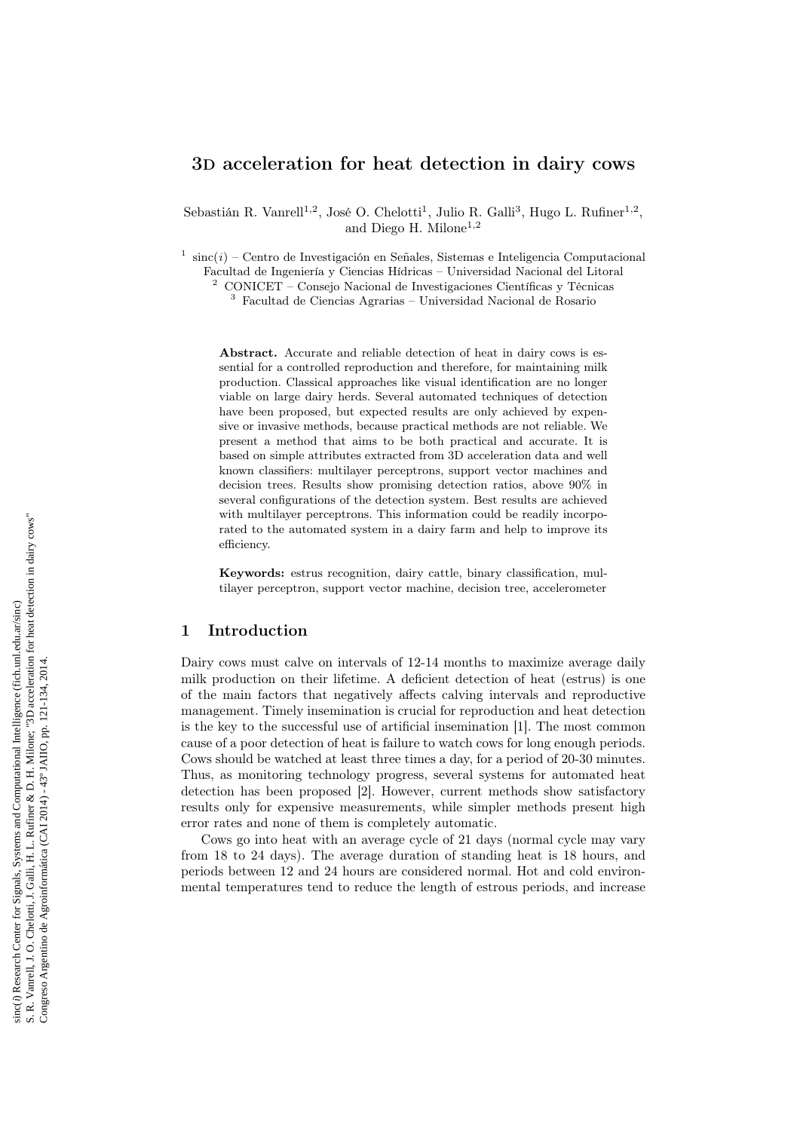# 3D acceleration for heat detection in dairy cows

Sebastián R. Vanrell<sup>1,2</sup>, José O. Chelotti<sup>1</sup>, Julio R. Galli<sup>3</sup>, Hugo L. Rufiner<sup>1,2</sup>, and Diego H. Milone<sup>1,2</sup>

<sup>1</sup> sinc $(i)$  – Centro de Investigación en Señales, Sistemas e Inteligencia Computacional Facultad de Ingeniería y Ciencias Hídricas – Universidad Nacional del Litoral

<sup>2</sup> CONICET – Consejo Nacional de Investigaciones Científicas y Técnicas

 $^3\,$  Facultad de Ciencias Agrarias – Universidad Nacional de Rosario

Abstract. Accurate and reliable detection of heat in dairy cows is essential for a controlled reproduction and therefore, for maintaining milk production. Classical approaches like visual identification are no longer viable on large dairy herds. Several automated techniques of detection have been proposed, but expected results are only achieved by expensive or invasive methods, because practical methods are not reliable. We present a method that aims to be both practical and accurate. It is based on simple attributes extracted from 3D acceleration data and well known classifiers: multilayer perceptrons, support vector machines and decision trees. Results show promising detection ratios, above 90% in several configurations of the detection system. Best results are achieved with multilayer perceptrons. This information could be readily incorporated to the automated system in a dairy farm and help to improve its efficiency.

Keywords: estrus recognition, dairy cattle, binary classification, multilayer perceptron, support vector machine, decision tree, accelerometer

### 1 Introduction

Dairy cows must calve on intervals of 12-14 months to maximize average daily milk production on their lifetime. A deficient detection of heat (estrus) is one of the main factors that negatively affects calving intervals and reproductive management. Timely insemination is crucial for reproduction and heat detection is the key to the successful use of artificial insemination [1]. The most common cause of a poor detection of heat is failure to watch cows for long enough periods. Cows should be watched at least three times a day, for a period of 20-30 minutes. Thus, as monitoring technology progress, several systems for automated heat detection has been proposed [2]. However, current methods show satisfactory results only for expensive measurements, while simpler methods present high error rates and none of them is completely automatic.

Cows go into heat with an average cycle of 21 days (normal cycle may vary from 18 to 24 days). The average duration of standing heat is 18 hours, and periods between 12 and 24 hours are considered normal. Hot and cold environmental temperatures tend to reduce the length of estrous periods, and increase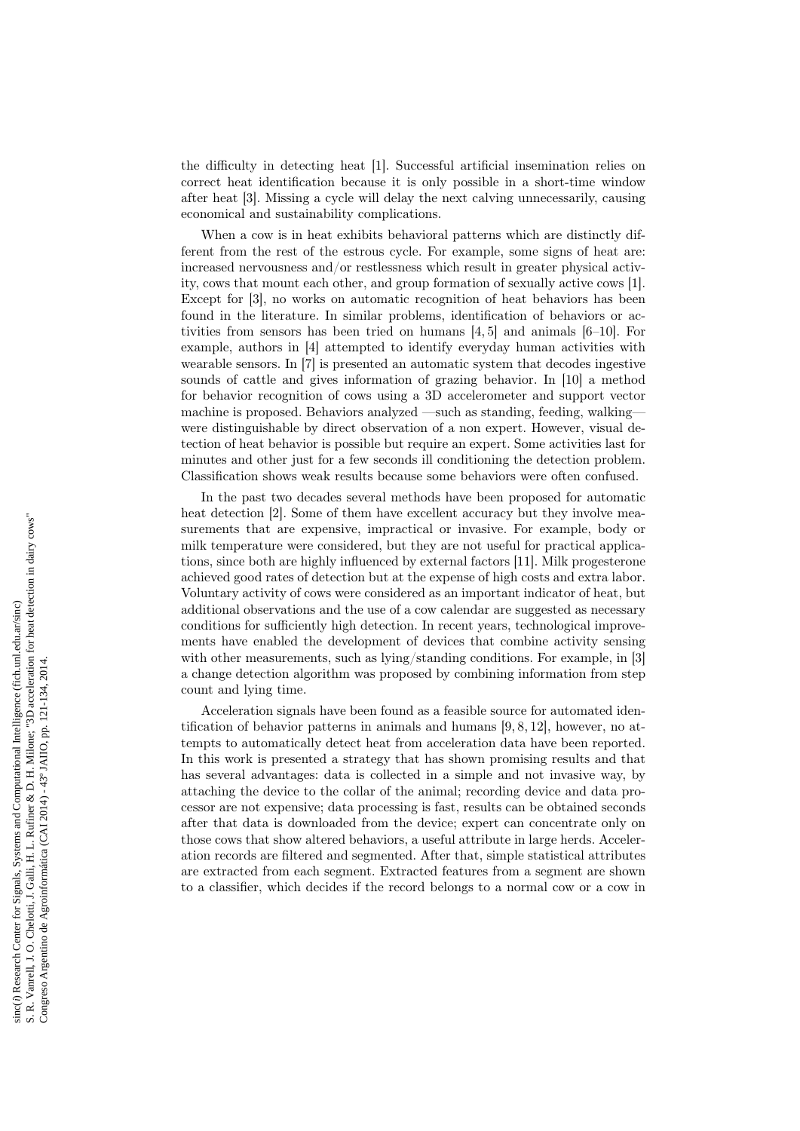the difficulty in detecting heat [1]. Successful artificial insemination relies on correct heat identification because it is only possible in a short-time window after heat [3]. Missing a cycle will delay the next calving unnecessarily, causing economical and sustainability complications.

When a cow is in heat exhibits behavioral patterns which are distinctly different from the rest of the estrous cycle. For example, some signs of heat are: increased nervousness and/or restlessness which result in greater physical activity, cows that mount each other, and group formation of sexually active cows [1]. Except for [3], no works on automatic recognition of heat behaviors has been found in the literature. In similar problems, identification of behaviors or activities from sensors has been tried on humans [4, 5] and animals [6–10]. For example, authors in [4] attempted to identify everyday human activities with wearable sensors. In [7] is presented an automatic system that decodes ingestive sounds of cattle and gives information of grazing behavior. In [10] a method for behavior recognition of cows using a 3D accelerometer and support vector machine is proposed. Behaviors analyzed —such as standing, feeding, walking were distinguishable by direct observation of a non expert. However, visual detection of heat behavior is possible but require an expert. Some activities last for minutes and other just for a few seconds ill conditioning the detection problem. Classification shows weak results because some behaviors were often confused.

In the past two decades several methods have been proposed for automatic heat detection [2]. Some of them have excellent accuracy but they involve measurements that are expensive, impractical or invasive. For example, body or milk temperature were considered, but they are not useful for practical applications, since both are highly influenced by external factors [11]. Milk progesterone achieved good rates of detection but at the expense of high costs and extra labor. Voluntary activity of cows were considered as an important indicator of heat, but additional observations and the use of a cow calendar are suggested as necessary conditions for sufficiently high detection. In recent years, technological improvements have enabled the development of devices that combine activity sensing with other measurements, such as lying/standing conditions. For example, in [3] a change detection algorithm was proposed by combining information from step count and lying time.

Acceleration signals have been found as a feasible source for automated identification of behavior patterns in animals and humans [9, 8, 12], however, no attempts to automatically detect heat from acceleration data have been reported. In this work is presented a strategy that has shown promising results and that has several advantages: data is collected in a simple and not invasive way, by attaching the device to the collar of the animal; recording device and data processor are not expensive; data processing is fast, results can be obtained seconds after that data is downloaded from the device; expert can concentrate only on those cows that show altered behaviors, a useful attribute in large herds. Acceleration records are filtered and segmented. After that, simple statistical attributes are extracted from each segment. Extracted features from a segment are shown to a classifier, which decides if the record belongs to a normal cow or a cow in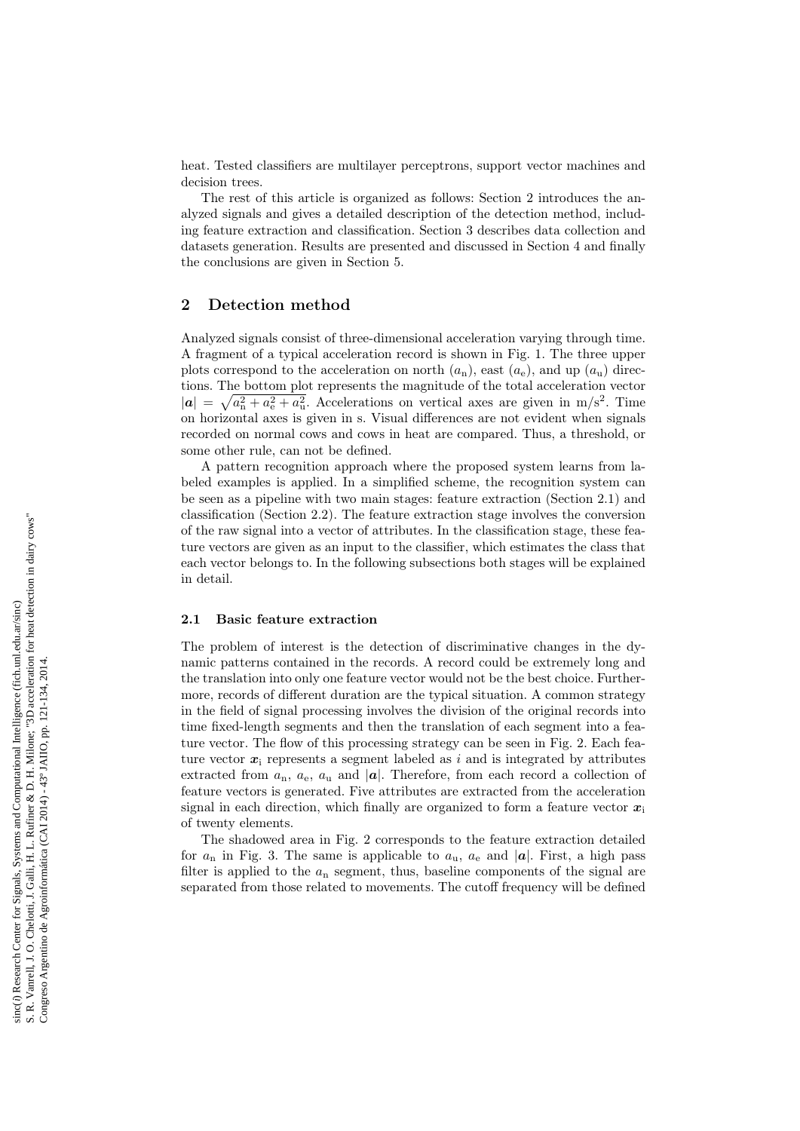heat. Tested classifiers are multilayer perceptrons, support vector machines and decision trees.

The rest of this article is organized as follows: Section 2 introduces the analyzed signals and gives a detailed description of the detection method, including feature extraction and classification. Section 3 describes data collection and datasets generation. Results are presented and discussed in Section 4 and finally the conclusions are given in Section 5.

## 2 Detection method

Analyzed signals consist of three-dimensional acceleration varying through time. A fragment of a typical acceleration record is shown in Fig. 1. The three upper plots correspond to the acceleration on north  $(a_n)$ , east  $(a_e)$ , and up  $(a_u)$  directions. The bottom plot represents the magnitude of the total acceleration vector  $|\mathbf{a}| = \sqrt{a_n^2 + a_e^2 + a_u^2}$ . Accelerations on vertical axes are given in m/s<sup>2</sup>. Time on horizontal axes is given in s. Visual differences are not evident when signals recorded on normal cows and cows in heat are compared. Thus, a threshold, or some other rule, can not be defined.

A pattern recognition approach where the proposed system learns from labeled examples is applied. In a simplified scheme, the recognition system can be seen as a pipeline with two main stages: feature extraction (Section 2.1) and classification (Section 2.2). The feature extraction stage involves the conversion of the raw signal into a vector of attributes. In the classification stage, these feature vectors are given as an input to the classifier, which estimates the class that each vector belongs to. In the following subsections both stages will be explained in detail.

#### 2.1 Basic feature extraction

The problem of interest is the detection of discriminative changes in the dynamic patterns contained in the records. A record could be extremely long and the translation into only one feature vector would not be the best choice. Furthermore, records of different duration are the typical situation. A common strategy in the field of signal processing involves the division of the original records into time fixed-length segments and then the translation of each segment into a feature vector. The flow of this processing strategy can be seen in Fig. 2. Each feature vector  $x_i$  represents a segment labeled as i and is integrated by attributes extracted from  $a_n$ ,  $a_e$ ,  $a_u$  and |a|. Therefore, from each record a collection of feature vectors is generated. Five attributes are extracted from the acceleration signal in each direction, which finally are organized to form a feature vector  $x_i$ of twenty elements.

The shadowed area in Fig. 2 corresponds to the feature extraction detailed for  $a_n$  in Fig. 3. The same is applicable to  $a_u$ ,  $a_e$  and  $|a|$ . First, a high pass filter is applied to the  $a_n$  segment, thus, baseline components of the signal are separated from those related to movements. The cutoff frequency will be defined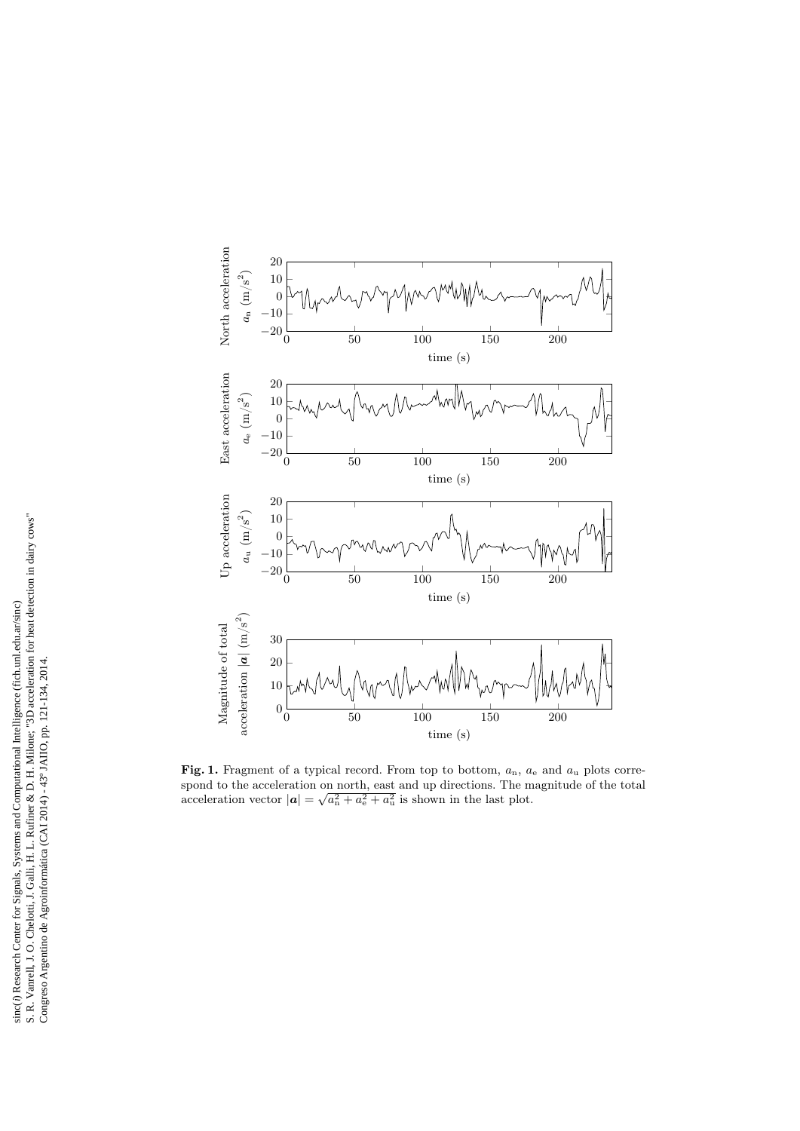

Fig. 1. Fragment of a typical record. From top to bottom,  $a_n$ ,  $a_e$  and  $a_u$  plots correspond to the acceleration on north, east and up directions. The magnitude of the total acceleration vector  $|\mathbf{a}| = \sqrt{a_n^2 + a_e^2 + a_u^2}$  is shown in the last plot.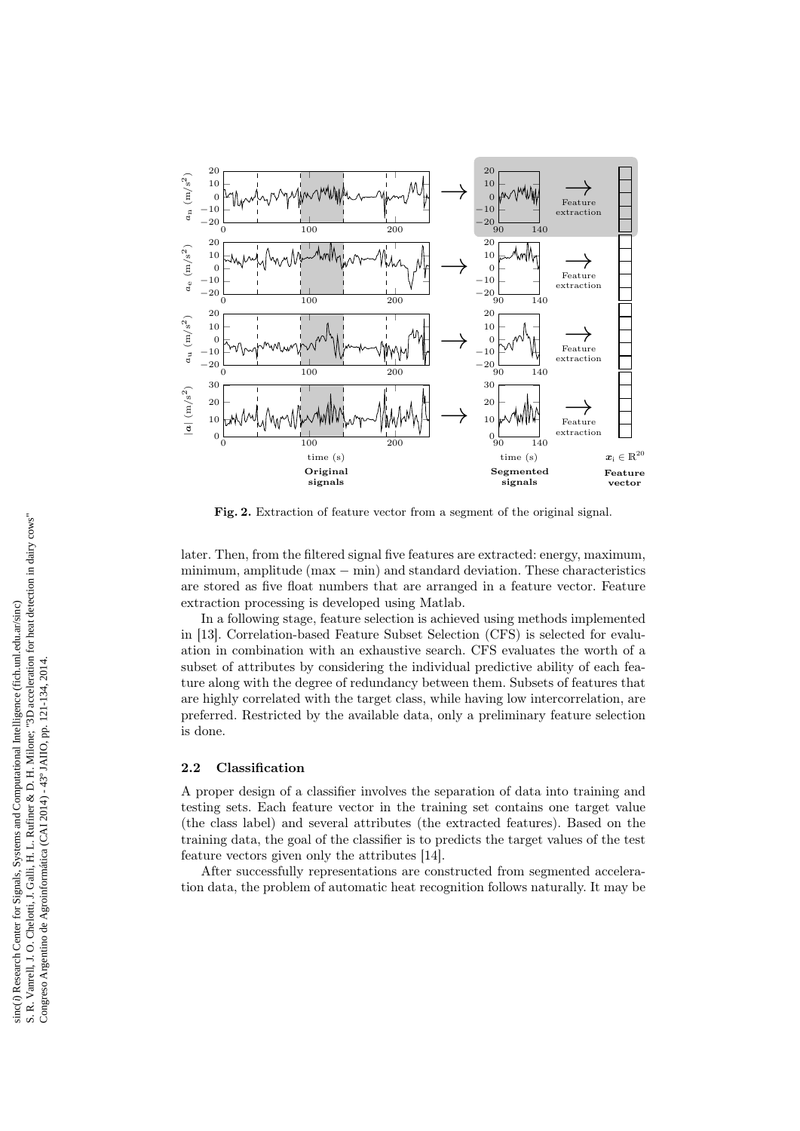

Fig. 2. Extraction of feature vector from a segment of the original signal.

later. Then, from the filtered signal five features are extracted: energy, maximum, minimum, amplitude (max − min) and standard deviation. These characteristics are stored as five float numbers that are arranged in a feature vector. Feature extraction processing is developed using Matlab.

In a following stage, feature selection is achieved using methods implemented in [13]. Correlation-based Feature Subset Selection (CFS) is selected for evaluation in combination with an exhaustive search. CFS evaluates the worth of a subset of attributes by considering the individual predictive ability of each feature along with the degree of redundancy between them. Subsets of features that are highly correlated with the target class, while having low intercorrelation, are preferred. Restricted by the available data, only a preliminary feature selection is done.

### 2.2 Classification

A proper design of a classifier involves the separation of data into training and testing sets. Each feature vector in the training set contains one target value (the class label) and several attributes (the extracted features). Based on the training data, the goal of the classifier is to predicts the target values of the test feature vectors given only the attributes [14].

After successfully representations are constructed from segmented acceleration data, the problem of automatic heat recognition follows naturally. It may be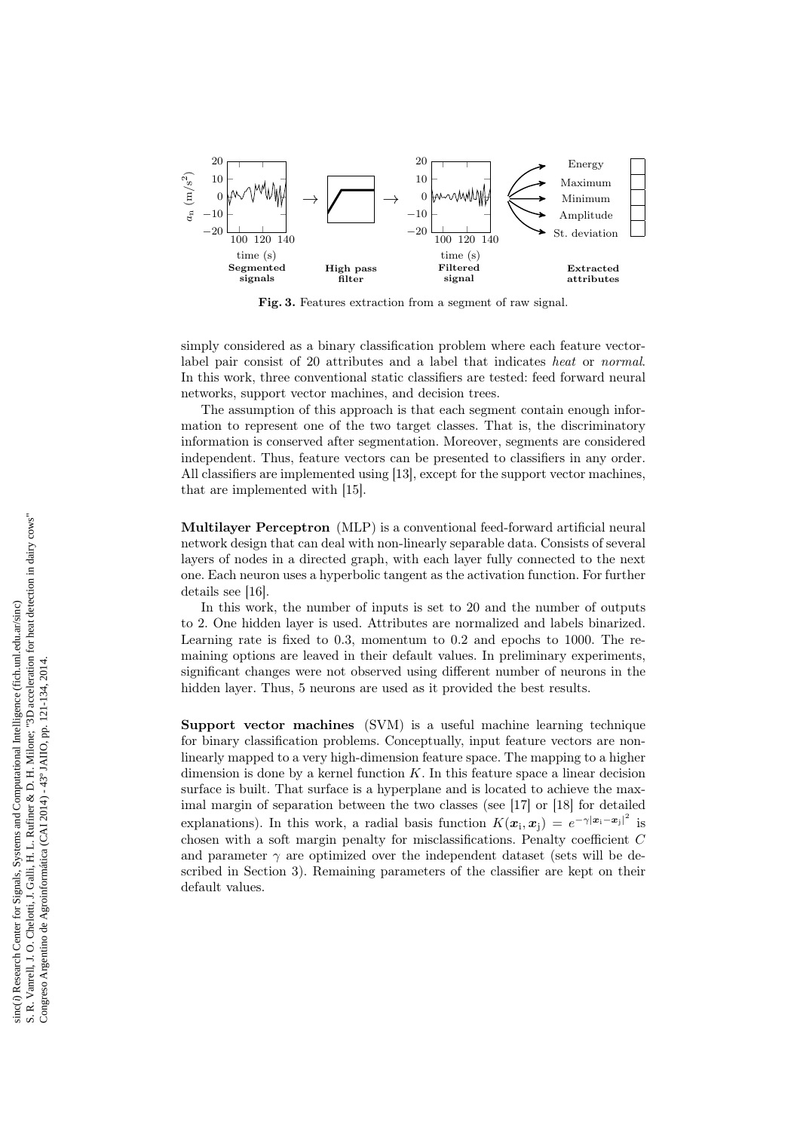

Fig. 3. Features extraction from a segment of raw signal.

simply considered as a binary classification problem where each feature vectorlabel pair consist of 20 attributes and a label that indicates heat or normal. In this work, three conventional static classifiers are tested: feed forward neural networks, support vector machines, and decision trees.

The assumption of this approach is that each segment contain enough information to represent one of the two target classes. That is, the discriminatory information is conserved after segmentation. Moreover, segments are considered independent. Thus, feature vectors can be presented to classifiers in any order. All classifiers are implemented using [13], except for the support vector machines, that are implemented with [15].

Multilayer Perceptron (MLP) is a conventional feed-forward artificial neural network design that can deal with non-linearly separable data. Consists of several layers of nodes in a directed graph, with each layer fully connected to the next one. Each neuron uses a hyperbolic tangent as the activation function. For further details see [16].

In this work, the number of inputs is set to 20 and the number of outputs to 2. One hidden layer is used. Attributes are normalized and labels binarized. Learning rate is fixed to 0.3, momentum to 0.2 and epochs to 1000. The remaining options are leaved in their default values. In preliminary experiments, significant changes were not observed using different number of neurons in the hidden layer. Thus, 5 neurons are used as it provided the best results.

Support vector machines (SVM) is a useful machine learning technique for binary classification problems. Conceptually, input feature vectors are nonlinearly mapped to a very high-dimension feature space. The mapping to a higher dimension is done by a kernel function  $K$ . In this feature space a linear decision surface is built. That surface is a hyperplane and is located to achieve the maximal margin of separation between the two classes (see [17] or [18] for detailed explanations). In this work, a radial basis function  $K(\mathbf{x}_i, \mathbf{x}_j) = e^{-\gamma |\mathbf{x}_i - \mathbf{x}_j|^2}$  is chosen with a soft margin penalty for misclassifications. Penalty coefficient C and parameter  $\gamma$  are optimized over the independent dataset (sets will be described in Section 3). Remaining parameters of the classifier are kept on their default values.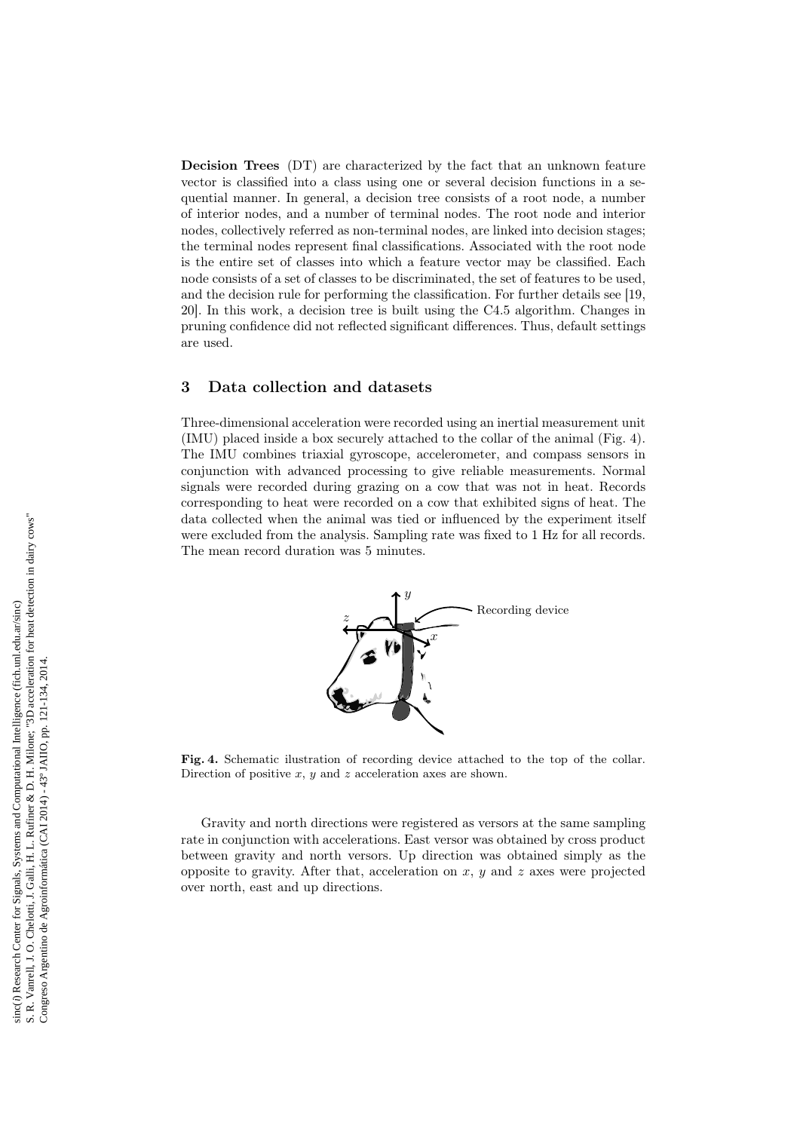Decision Trees (DT) are characterized by the fact that an unknown feature vector is classified into a class using one or several decision functions in a sequential manner. In general, a decision tree consists of a root node, a number of interior nodes, and a number of terminal nodes. The root node and interior nodes, collectively referred as non-terminal nodes, are linked into decision stages; the terminal nodes represent final classifications. Associated with the root node is the entire set of classes into which a feature vector may be classified. Each node consists of a set of classes to be discriminated, the set of features to be used, and the decision rule for performing the classification. For further details see [19, 20]. In this work, a decision tree is built using the C4.5 algorithm. Changes in pruning confidence did not reflected significant differences. Thus, default settings are used.

## 3 Data collection and datasets

Three-dimensional acceleration were recorded using an inertial measurement unit (IMU) placed inside a box securely attached to the collar of the animal (Fig. 4). The IMU combines triaxial gyroscope, accelerometer, and compass sensors in conjunction with advanced processing to give reliable measurements. Normal signals were recorded during grazing on a cow that was not in heat. Records corresponding to heat were recorded on a cow that exhibited signs of heat. The data collected when the animal was tied or influenced by the experiment itself were excluded from the analysis. Sampling rate was fixed to 1 Hz for all records. The mean record duration was 5 minutes.



Fig. 4. Schematic ilustration of recording device attached to the top of the collar. Direction of positive  $x, y$  and  $z$  acceleration axes are shown.

Gravity and north directions were registered as versors at the same sampling rate in conjunction with accelerations. East versor was obtained by cross product between gravity and north versors. Up direction was obtained simply as the opposite to gravity. After that, acceleration on  $x, y$  and  $z$  axes were projected over north, east and up directions.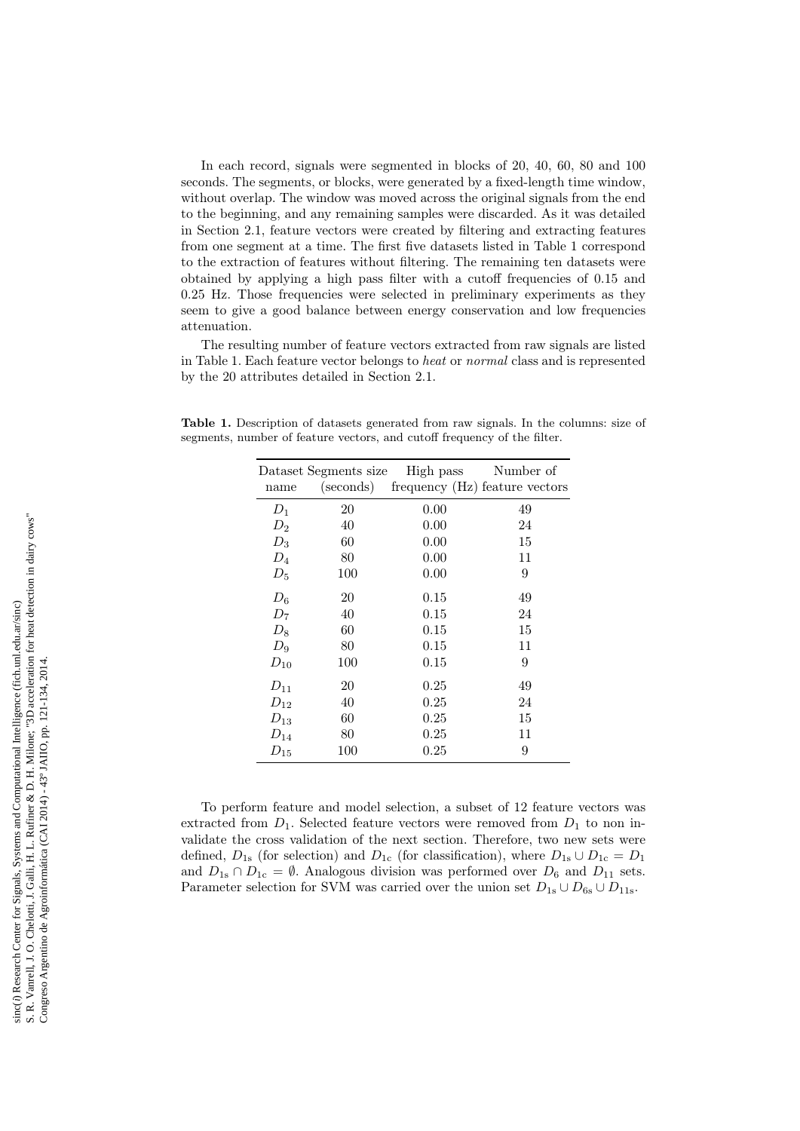In each record, signals were segmented in blocks of 20, 40, 60, 80 and 100 seconds. The segments, or blocks, were generated by a fixed-length time window, without overlap. The window was moved across the original signals from the end to the beginning, and any remaining samples were discarded. As it was detailed in Section 2.1, feature vectors were created by filtering and extracting features from one segment at a time. The first five datasets listed in Table 1 correspond to the extraction of features without filtering. The remaining ten datasets were obtained by applying a high pass filter with a cutoff frequencies of 0.15 and 0.25 Hz. Those frequencies were selected in preliminary experiments as they seem to give a good balance between energy conservation and low frequencies attenuation.

The resulting number of feature vectors extracted from raw signals are listed in Table 1. Each feature vector belongs to heat or normal class and is represented by the 20 attributes detailed in Section 2.1.

|          | Dataset Segments size | High pass                      | Number of |
|----------|-----------------------|--------------------------------|-----------|
| name     | (seconds)             | frequency (Hz) feature vectors |           |
| $D_1$    | 20                    | 0.00                           | 49        |
| $D_2$    | 40                    | 0.00                           | 24        |
| $D_3$    | 60                    | 0.00                           | 15        |
| $D_4$    | 80                    | 0.00                           | 11        |
| $D_5$    | 100                   | 0.00                           | 9         |
| $D_6$    | 20                    | 0.15                           | 49        |
| $D_7$    | 40                    | 0.15                           | 24        |
| $D_8$    | 60                    | 0.15                           | 15        |
| $D_9$    | 80                    | 0.15                           | 11        |
| $D_{10}$ | 100                   | 0.15                           | 9         |
| $D_{11}$ | 20                    | 0.25                           | 49        |
| $D_{12}$ | 40                    | 0.25                           | 24        |
| $D_{13}$ | 60                    | 0.25                           | 15        |
| $D_{14}$ | 80                    | 0.25                           | 11        |
| $D_{15}$ | 100                   | 0.25                           | 9         |

Table 1. Description of datasets generated from raw signals. In the columns: size of segments, number of feature vectors, and cutoff frequency of the filter.

To perform feature and model selection, a subset of 12 feature vectors was extracted from  $D_1$ . Selected feature vectors were removed from  $D_1$  to non invalidate the cross validation of the next section. Therefore, two new sets were defined,  $D_{1s}$  (for selection) and  $D_{1c}$  (for classification), where  $D_{1s} \cup D_{1c} = D_1$ and  $D_{1s} \cap D_{1c} = \emptyset$ . Analogous division was performed over  $D_6$  and  $D_{11}$  sets. Parameter selection for SVM was carried over the union set  $D_{1s} \cup D_{6s} \cup D_{11s}$ .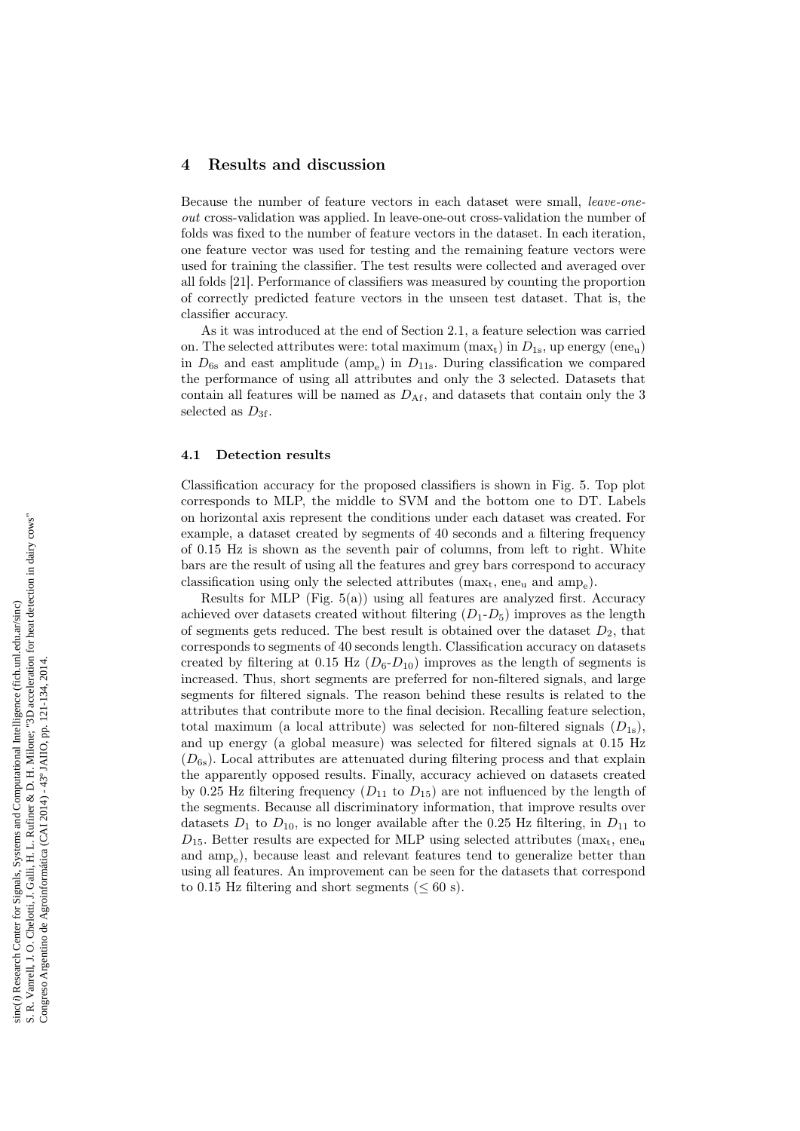### 4 Results and discussion

Because the number of feature vectors in each dataset were small, leave-oneout cross-validation was applied. In leave-one-out cross-validation the number of folds was fixed to the number of feature vectors in the dataset. In each iteration, one feature vector was used for testing and the remaining feature vectors were used for training the classifier. The test results were collected and averaged over all folds [21]. Performance of classifiers was measured by counting the proportion of correctly predicted feature vectors in the unseen test dataset. That is, the classifier accuracy.

As it was introduced at the end of Section 2.1, a feature selection was carried on. The selected attributes were: total maximum  $(\text{max}_{t})$  in  $D_{1s}$ , up energy  $(\text{ene}_{u})$ in  $D_{6s}$  and east amplitude (amp<sub>e</sub>) in  $D_{11s}$ . During classification we compared the performance of using all attributes and only the 3 selected. Datasets that contain all features will be named as  $D_{\text{Af}}$ , and datasets that contain only the 3 selected as  $D_{3f}$ .

### 4.1 Detection results

Classification accuracy for the proposed classifiers is shown in Fig. 5. Top plot corresponds to MLP, the middle to SVM and the bottom one to DT. Labels on horizontal axis represent the conditions under each dataset was created. For example, a dataset created by segments of 40 seconds and a filtering frequency of 0.15 Hz is shown as the seventh pair of columns, from left to right. White bars are the result of using all the features and grey bars correspond to accuracy classification using only the selected attributes  $(max_t, ene_u$  and  $amp_e)$ .

Results for MLP (Fig.  $5(a)$ ) using all features are analyzed first. Accuracy achieved over datasets created without filtering  $(D_1 - D_5)$  improves as the length of segments gets reduced. The best result is obtained over the dataset  $D_2$ , that corresponds to segments of 40 seconds length. Classification accuracy on datasets created by filtering at  $0.15$  Hz  $(D_6-D_{10})$  improves as the length of segments is increased. Thus, short segments are preferred for non-filtered signals, and large segments for filtered signals. The reason behind these results is related to the attributes that contribute more to the final decision. Recalling feature selection, total maximum (a local attribute) was selected for non-filtered signals  $(D_{1s})$ , and up energy (a global measure) was selected for filtered signals at 0.15 Hz  $(D_{6s})$ . Local attributes are attenuated during filtering process and that explain the apparently opposed results. Finally, accuracy achieved on datasets created by 0.25 Hz filtering frequency  $(D_{11}$  to  $D_{15}$ ) are not influenced by the length of the segments. Because all discriminatory information, that improve results over datasets  $D_1$  to  $D_{10}$ , is no longer available after the 0.25 Hz filtering, in  $D_{11}$  to  $D_{15}$ . Better results are expected for MLP using selected attributes (max<sub>t</sub>, ene<sub>u</sub> and  $amp_e$ ), because least and relevant features tend to generalize better than using all features. An improvement can be seen for the datasets that correspond to 0.15 Hz filtering and short segments ( $\leq 60$  s).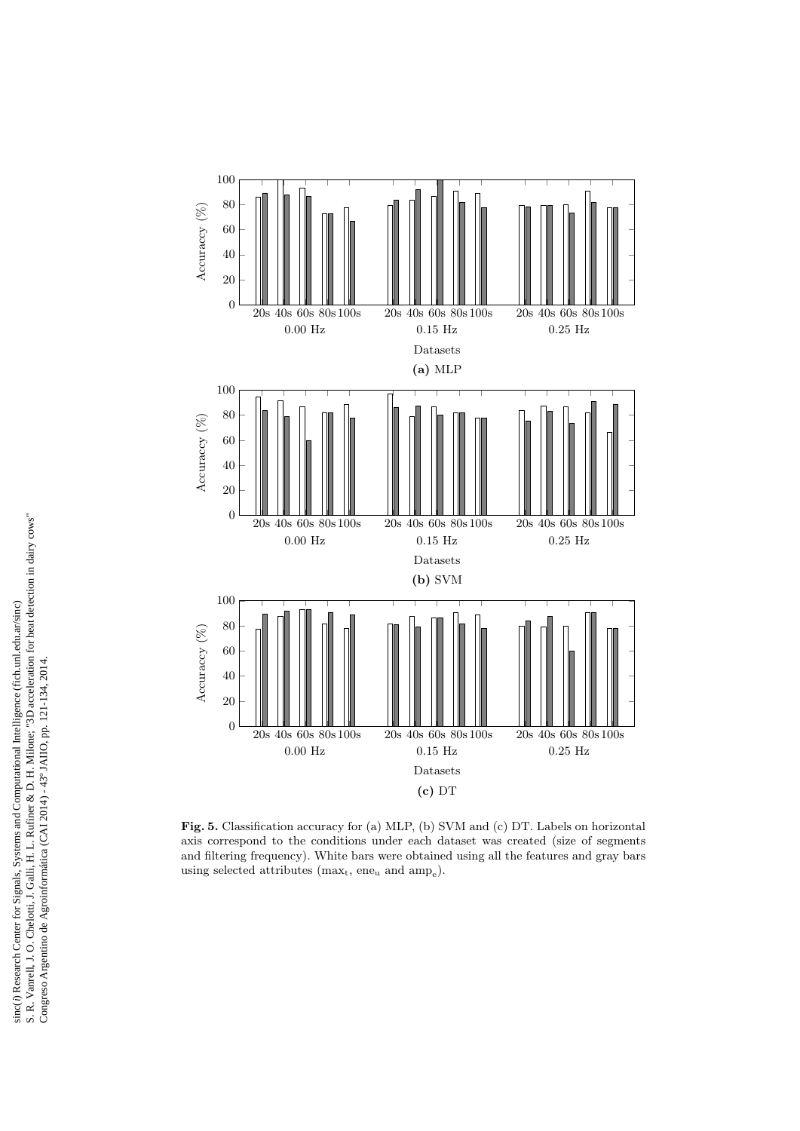

Fig. 5. Classification accuracy for (a) MLP, (b) SVM and (c) DT. Labels on horizontal axis correspond to the conditions under each dataset was created (size of segments and filtering frequency). White bars were obtained using all the features and gray bars using selected attributes ( $\max_t$ , ene<sub>u</sub> and  $\text{amp}_e$ ).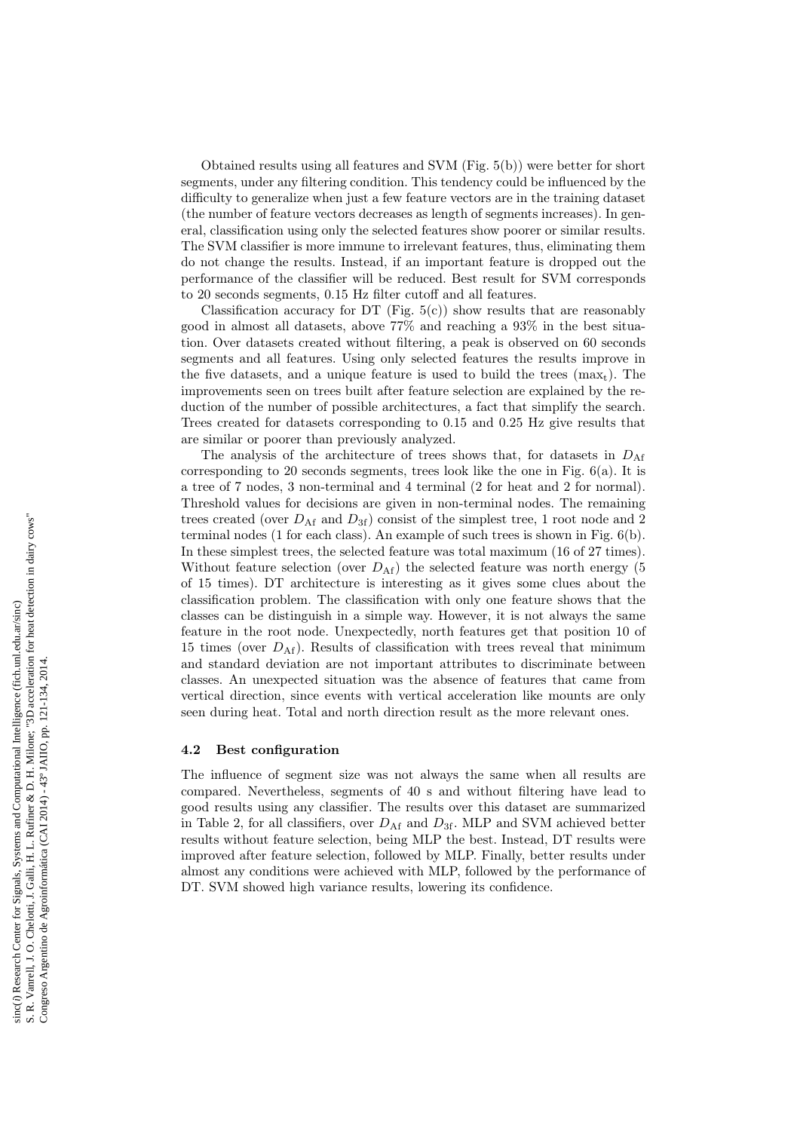Obtained results using all features and SVM (Fig. 5(b)) were better for short segments, under any filtering condition. This tendency could be influenced by the difficulty to generalize when just a few feature vectors are in the training dataset (the number of feature vectors decreases as length of segments increases). In general, classification using only the selected features show poorer or similar results. The SVM classifier is more immune to irrelevant features, thus, eliminating them do not change the results. Instead, if an important feature is dropped out the performance of the classifier will be reduced. Best result for SVM corresponds to 20 seconds segments, 0.15 Hz filter cutoff and all features.

Classification accuracy for DT (Fig.  $5(c)$ ) show results that are reasonably good in almost all datasets, above 77% and reaching a 93% in the best situation. Over datasets created without filtering, a peak is observed on 60 seconds segments and all features. Using only selected features the results improve in the five datasets, and a unique feature is used to build the trees  $(max<sub>t</sub>)$ . The improvements seen on trees built after feature selection are explained by the reduction of the number of possible architectures, a fact that simplify the search. Trees created for datasets corresponding to 0.15 and 0.25 Hz give results that are similar or poorer than previously analyzed.

The analysis of the architecture of trees shows that, for datasets in  $D_{\rm Af}$ corresponding to 20 seconds segments, trees look like the one in Fig.  $6(a)$ . It is a tree of 7 nodes, 3 non-terminal and 4 terminal (2 for heat and 2 for normal). Threshold values for decisions are given in non-terminal nodes. The remaining trees created (over  $D_{\text{Af}}$  and  $D_{3f}$ ) consist of the simplest tree, 1 root node and 2 terminal nodes (1 for each class). An example of such trees is shown in Fig. 6(b). In these simplest trees, the selected feature was total maximum (16 of 27 times). Without feature selection (over  $D_{\text{Af}}$ ) the selected feature was north energy (5 of 15 times). DT architecture is interesting as it gives some clues about the classification problem. The classification with only one feature shows that the classes can be distinguish in a simple way. However, it is not always the same feature in the root node. Unexpectedly, north features get that position 10 of 15 times (over  $D_{\text{Af}}$ ). Results of classification with trees reveal that minimum and standard deviation are not important attributes to discriminate between classes. An unexpected situation was the absence of features that came from vertical direction, since events with vertical acceleration like mounts are only seen during heat. Total and north direction result as the more relevant ones.

#### 4.2 Best configuration

The influence of segment size was not always the same when all results are compared. Nevertheless, segments of 40 s and without filtering have lead to good results using any classifier. The results over this dataset are summarized in Table 2, for all classifiers, over  $D_{\text{Af}}$  and  $D_{3f}$ . MLP and SVM achieved better results without feature selection, being MLP the best. Instead, DT results were improved after feature selection, followed by MLP. Finally, better results under almost any conditions were achieved with MLP, followed by the performance of DT. SVM showed high variance results, lowering its confidence.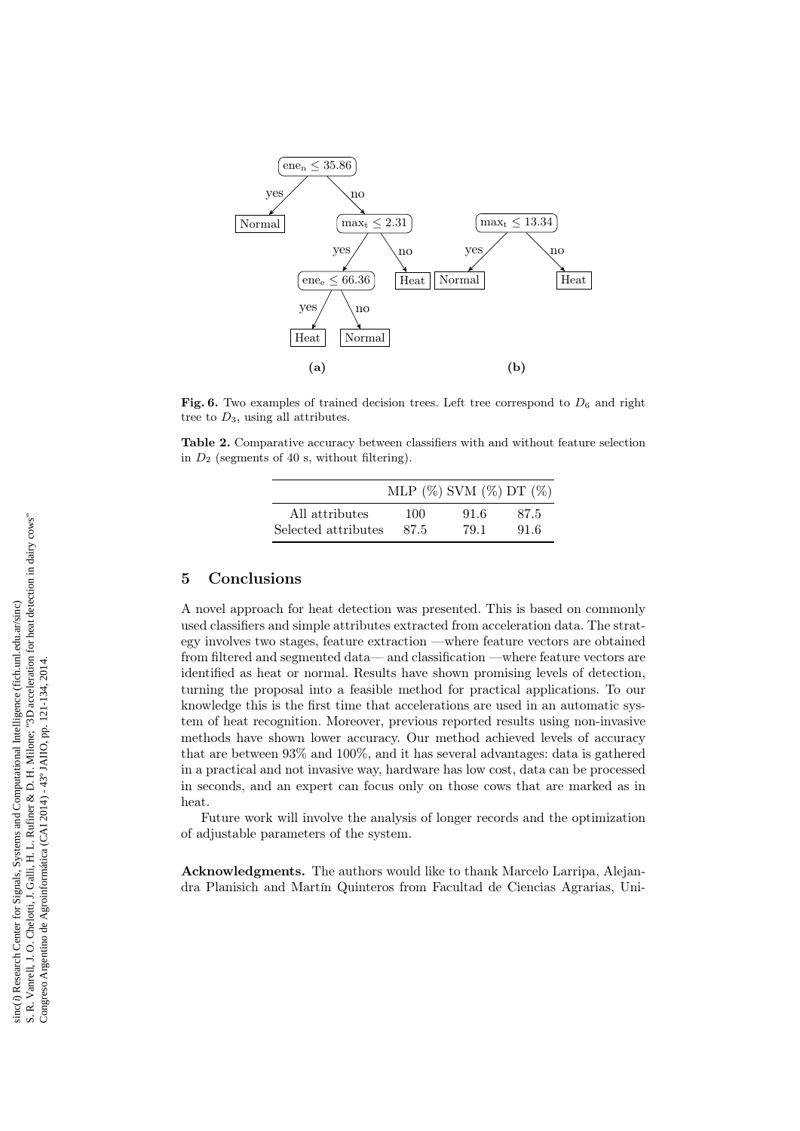

Fig. 6. Two examples of trained decision trees. Left tree correspond to  $D_6$  and right tree to  $D_3$ , using all attributes.

Table 2. Comparative accuracy between classifiers with and without feature selection in  $D_2$  (segments of 40 s, without filtering).

|                     |      | MLP $(\%)$ SVM $(\%)$ DT $(\%)$ |      |
|---------------------|------|---------------------------------|------|
| All attributes      | 100  | 91.6                            | 87.5 |
| Selected attributes | 87.5 | 79.1                            | 91.6 |

# 5 Conclusions

A novel approach for heat detection was presented. This is based on commonly used classifiers and simple attributes extracted from acceleration data. The strategy involves two stages, feature extraction —where feature vectors are obtained from filtered and segmented data— and classification —where feature vectors are identified as heat or normal. Results have shown promising levels of detection, turning the proposal into a feasible method for practical applications. To our knowledge this is the first time that accelerations are used in an automatic system of heat recognition. Moreover, previous reported results using non-invasive methods have shown lower accuracy. Our method achieved levels of accuracy that are between 93% and 100%, and it has several advantages: data is gathered in a practical and not invasive way, hardware has low cost, data can be processed in seconds, and an expert can focus only on those cows that are marked as in heat.

Future work will involve the analysis of longer records and the optimization of adjustable parameters of the system.

Acknowledgments. The authors would like to thank Marcelo Larripa, Alejandra Planisich and Martín Quinteros from Facultad de Ciencias Agrarias, Uni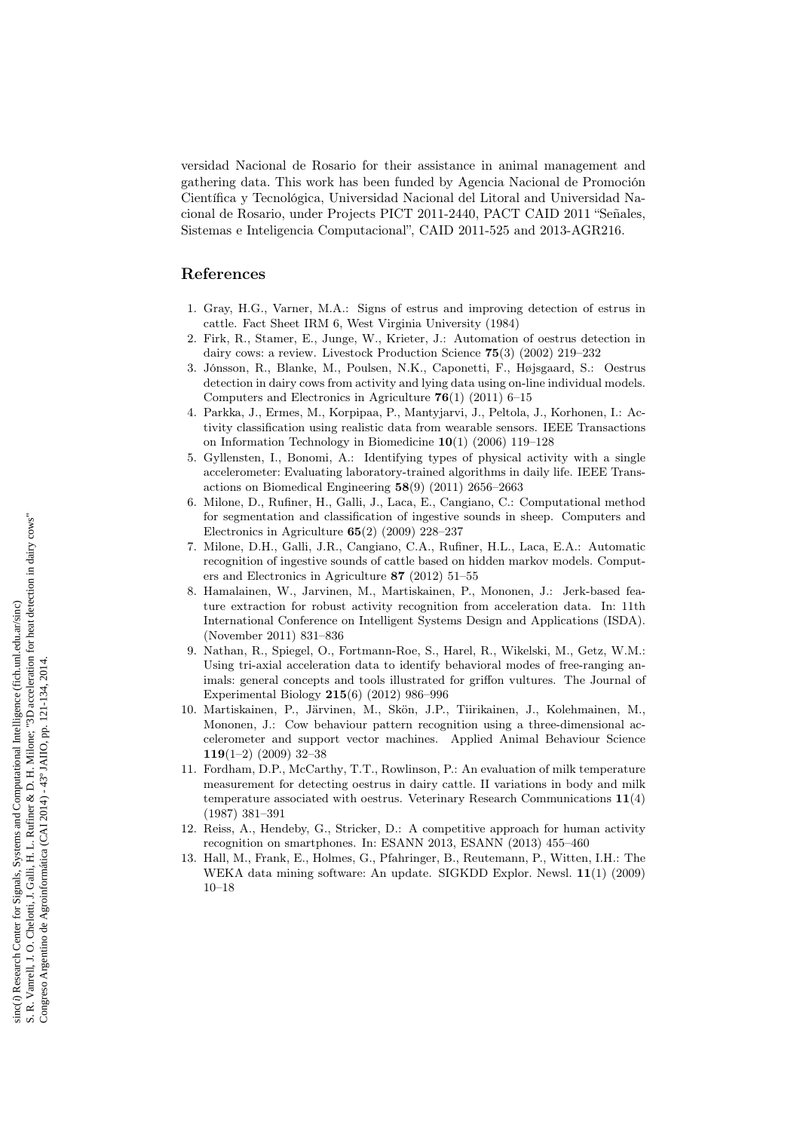versidad Nacional de Rosario for their assistance in animal management and gathering data. This work has been funded by Agencia Nacional de Promoción Científica y Tecnológica, Universidad Nacional del Litoral and Universidad Nacional de Rosario, under Projects PICT 2011-2440, PACT CAID 2011 "Señales, Sistemas e Inteligencia Computacional", CAID 2011-525 and 2013-AGR216.

### References

- 1. Gray, H.G., Varner, M.A.: Signs of estrus and improving detection of estrus in cattle. Fact Sheet IRM 6, West Virginia University (1984)
- 2. Firk, R., Stamer, E., Junge, W., Krieter, J.: Automation of oestrus detection in dairy cows: a review. Livestock Production Science 75(3) (2002) 219–232
- 3. Jónsson, R., Blanke, M., Poulsen, N.K., Caponetti, F., Højsgaard, S.: Oestrus detection in dairy cows from activity and lying data using on-line individual models. Computers and Electronics in Agriculture  $76(1)$  (2011) 6–15
- 4. Parkka, J., Ermes, M., Korpipaa, P., Mantyjarvi, J., Peltola, J., Korhonen, I.: Activity classification using realistic data from wearable sensors. IEEE Transactions on Information Technology in Biomedicine 10(1) (2006) 119–128
- 5. Gyllensten, I., Bonomi, A.: Identifying types of physical activity with a single accelerometer: Evaluating laboratory-trained algorithms in daily life. IEEE Transactions on Biomedical Engineering 58(9) (2011) 2656–2663
- 6. Milone, D., Rufiner, H., Galli, J., Laca, E., Cangiano, C.: Computational method for segmentation and classification of ingestive sounds in sheep. Computers and Electronics in Agriculture 65(2) (2009) 228–237
- 7. Milone, D.H., Galli, J.R., Cangiano, C.A., Rufiner, H.L., Laca, E.A.: Automatic recognition of ingestive sounds of cattle based on hidden markov models. Computers and Electronics in Agriculture 87 (2012) 51–55
- 8. Hamalainen, W., Jarvinen, M., Martiskainen, P., Mononen, J.: Jerk-based feature extraction for robust activity recognition from acceleration data. In: 11th International Conference on Intelligent Systems Design and Applications (ISDA). (November 2011) 831–836
- 9. Nathan, R., Spiegel, O., Fortmann-Roe, S., Harel, R., Wikelski, M., Getz, W.M.: Using tri-axial acceleration data to identify behavioral modes of free-ranging animals: general concepts and tools illustrated for griffon vultures. The Journal of Experimental Biology 215(6) (2012) 986–996
- 10. Martiskainen, P., Järvinen, M., Skön, J.P., Tiirikainen, J., Kolehmainen, M., Mononen, J.: Cow behaviour pattern recognition using a three-dimensional accelerometer and support vector machines. Applied Animal Behaviour Science 119(1–2) (2009) 32–38
- 11. Fordham, D.P., McCarthy, T.T., Rowlinson, P.: An evaluation of milk temperature measurement for detecting oestrus in dairy cattle. II variations in body and milk temperature associated with oestrus. Veterinary Research Communications 11(4) (1987) 381–391
- 12. Reiss, A., Hendeby, G., Stricker, D.: A competitive approach for human activity recognition on smartphones. In: ESANN 2013, ESANN (2013) 455–460
- 13. Hall, M., Frank, E., Holmes, G., Pfahringer, B., Reutemann, P., Witten, I.H.: The WEKA data mining software: An update. SIGKDD Explor. Newsl. 11(1) (2009) 10–18